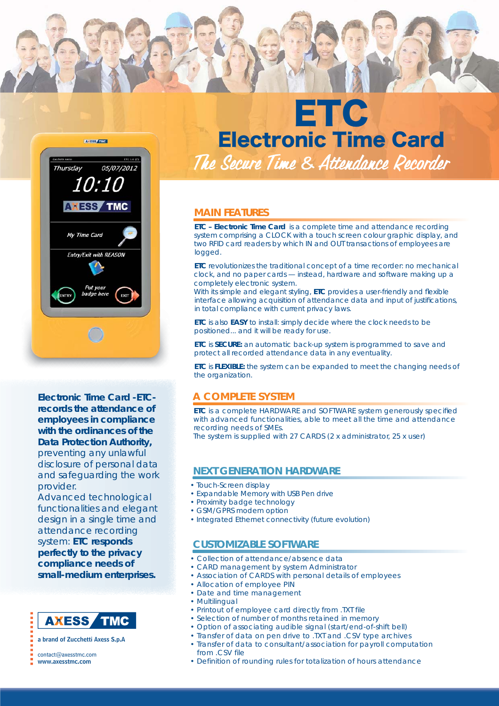



**Electronic Time Card -ETCrecords the attendance of employees in compliance with the ordinances of the Data Protection Authority,**

preventing any unlawful disclosure of personal data and safeguarding the work provider.

Advanced technological functionalities and elegant design in a single time and attendance recording system: **ETC responds perfectly to the privacy compliance needs of small-medium enterprises.**

#### **AXESS TMC**

a brand of Zucchetti Axess S.p.A

#### contact@axesstmc.com

www.axesstmc.com

# ETC Electronic Time Card *The Secure Time & Attendance Recorder he*

### **MAIN FEATURES**

**ETC – Electronic Time Card** is a complete time and attendance recording system comprising a *CLOCK* with a touch screen colour graphic display, and two RFID card readers by which *IN* and *OUT* transactions of employees are logged.

**ETC** revolutionizes the traditional concept of a time recorder: no mechanical clock, and no paper cards — instead, hardware and software making up a completely electronic system.

With its simple and elegant styling, **ETC** provides a user-friendly and flexible interface allowing acquisition of attendance data and input of justifications, in total compliance with current privacy laws.

**ETC** is also *EASY* to install: simply decide where the clock needs to be positioned... and it will be ready for use.

**ETC** is *SECURE:* an automatic back-up system is programmed to save and protect all recorded attendance data in any eventuality.

**ETC** is *FLEXIBLE:* the system can be expanded to meet the changing needs of the organization.

### **A COMPLETE SYSTEM**

**ETC** is a complete HARDWARE and SOFTWARE system generously specified with advanced functionalities, able to meet all the time and attendance recording needs of SMEs.

The system is supplied with 27 CARDS (2 x administrator, 25 x user)

### **NEXT GENERATION HARDWARE**

- Touch-Screen display
- Expandable Memory with USB Pen drive
- Proximity badge technology
- GSM/GPRS modem option
- Integrated Ethernet connectivity (future evolution)

### **CUSTOMIZABLE SOFTWARE**

- Collection of attendance/absence data
- CARD management by system Administrator
- Association of CARDS with personal details of employees
- Allocation of employee PIN
- Date and time management
- Multilingual
- Printout of employee card directly from .TXT file
- Selection of number of months retained in memory
- Option of associating audible signal (start/end-of-shift bell)
- Transfer of data on pen drive to .TXT and .CSV type archives
- Transfer of data to consultant/association for payroll computation from .CSV file
- Definition of rounding rules for totalization of hours attendance